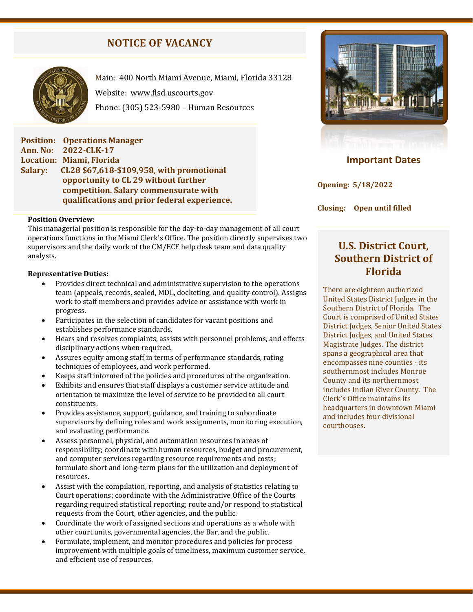# **NOTICE OF VACANCY**



Main: 400 North Miami Avenue, Miami, Florida 33128 Website: [www.flsd.uscourts.gov](http://www.flsd.uscourts.gov/) Phone: (305) 523-5980 – Human Resources

**Position: Operations Manager Ann. No: 2022-CLK-17 Location: Miami, Florida Salary: CL28 \$67,618-\$109,958, with promotional opportunity to CL 29 without further competition. Salary commensurate with qualifications and prior federal experience.**

#### **Position Overview:**

This managerial position is responsible for the day-to-day management of all court operations functions in the Miami Clerk's Office. The position directly supervises two supervisors and the daily work of the CM/ECF help desk team and data quality analysts.

#### **Representative Duties:**

- Provides direct technical and administrative supervision to the operations team (appeals, records, sealed, MDL, docketing, and quality control). Assigns work to staff members and provides advice or assistance with work in progress.
- Participates in the selection of candidates for vacant positions and establishes performance standards.
- Hears and resolves complaints, assists with personnel problems, and effects disciplinary actions when required.
- Assures equity among staff in terms of performance standards, rating techniques of employees, and work performed.
- Keeps staff informed of the policies and procedures of the organization.
- Exhibits and ensures that staff displays a customer service attitude and orientation to maximize the level of service to be provided to all court constituents.
- Provides assistance, support, guidance, and training to subordinate supervisors by defining roles and work assignments, monitoring execution, and evaluating performance.
- Assess personnel, physical, and automation resources in areas of responsibility; coordinate with human resources, budget and procurement, and computer services regarding resource requirements and costs; formulate short and long-term plans for the utilization and deployment of resources.
- Assist with the compilation, reporting, and analysis of statistics relating to Court operations; coordinate with the Administrative Office of the Courts regarding required statistical reporting; route and/or respond to statistical requests from the Court, other agencies, and the public.
- Coordinate the work of assigned sections and operations as a whole with other court units, governmental agencies, the Bar, and the public.
- Formulate, implement, and monitor procedures and policies for process improvement with multiple goals of timeliness, maximum customer service, and efficient use of resources.



# **Important Dates**

**Opening: 5/18/2022** 

**Closing: Open until filled**

# **U.S. District Court, Southern District of Florida**

There are eighteen authorized United States District Judges in the Southern District of Florida. The Court is comprised of United States District Judges, Senior United States District Judges, and United States Magistrate Judges. The district spans a geographical area that encompasses nine counties - its southernmost includes Monroe County and its northernmost includes Indian River County. The Clerk's Office maintains its headquarters in downtown Miami and includes four divisional courthouses.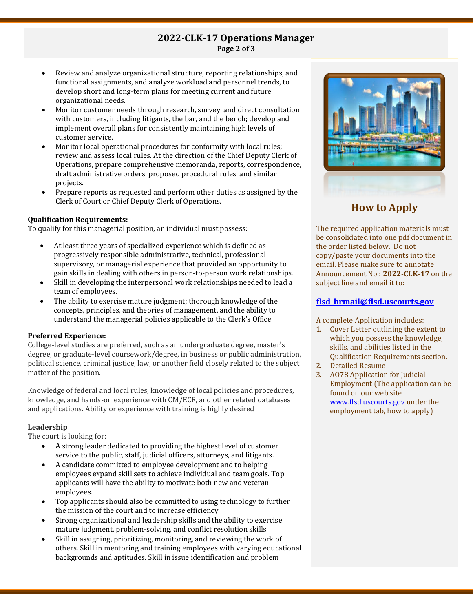## **2022-CLK-17 Operations Manager Page 2 of 3**

- Review and analyze organizational structure, reporting relationships, and functional assignments, and analyze workload and personnel trends, to develop short and long-term plans for meeting current and future organizational needs.
- Monitor customer needs through research, survey, and direct consultation with customers, including litigants, the bar, and the bench; develop and implement overall plans for consistently maintaining high levels of customer service.
- Monitor local operational procedures for conformity with local rules; review and assess local rules. At the direction of the Chief Deputy Clerk of Operations, prepare comprehensive memoranda, reports, correspondence, draft administrative orders, proposed procedural rules, and similar projects.
- Prepare reports as requested and perform other duties as assigned by the Clerk of Court or Chief Deputy Clerk of Operations.

#### **Qualification Requirements:**

To qualify for this managerial position, an individual must possess:

- At least three years of specialized experience which is defined as progressively responsible administrative, technical, professional supervisory, or managerial experience that provided an opportunity to gain skills in dealing with others in person-to-person work relationships.
- Skill in developing the interpersonal work relationships needed to lead a team of employees.
- The ability to exercise mature judgment; thorough knowledge of the concepts, principles, and theories of management, and the ability to understand the managerial policies applicable to the Clerk's Office.

### **Preferred Experience:**

College-level studies are preferred, such as an undergraduate degree, master's degree, or graduate-level coursework/degree, in business or public administration, political science, criminal justice, law, or another field closely related to the subject matter of the position.

Knowledge of federal and local rules, knowledge of local policies and procedures, knowledge, and hands-on experience with CM/ECF, and other related databases and applications. Ability or experience with training is highly desired

### **Leadership**

The court is looking for:

- A strong leader dedicated to providing the highest level of customer service to the public, staff, judicial officers, attorneys, and litigants.
- A candidate committed to employee development and to helping employees expand skill sets to achieve individual and team goals. Top applicants will have the ability to motivate both new and veteran employees.
- Top applicants should also be committed to using technology to further the mission of the court and to increase efficiency.
- Strong organizational and leadership skills and the ability to exercise mature judgment, problem-solving, and conflict resolution skills.
- Skill in assigning, prioritizing, monitoring, and reviewing the work of others. Skill in mentoring and training employees with varying educational backgrounds and aptitudes. Skill in issue identification and problem



# **How to Apply**

The required application materials must be consolidated into one pdf document in the order listed below. Do not copy/paste your documents into the email. Please make sure to annotate Announcement No.: **2022-CLK-17** on the subject line and email it to:

#### **[flsd\\_hrmail@flsd.uscourts.gov](mailto:flsd_hrmail@flsd.uscourts.gov)**

A complete Application includes:

- 1. Cover Letter outlining the extent to which you possess the knowledge, skills, and abilities listed in the Qualification Requirements section.
- 2. Detailed Resume
- 3. AO78 Application for Judicial Employment (The application can be found on our web site [www.flsd.uscourts.gov](http://www.flsd.uscourts.gov/) under the employment tab, how to apply)